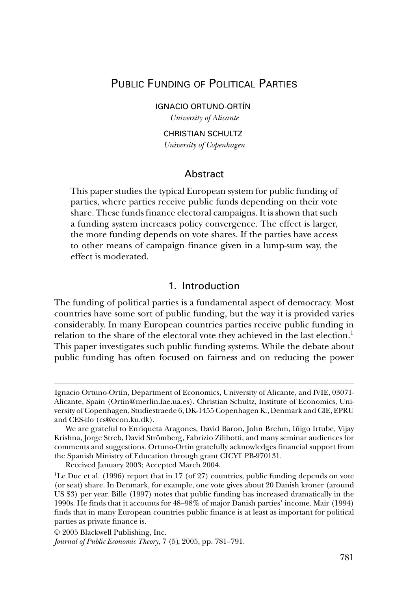# PUBLIC FUNDING OF POLITICAL PARTIES

IGNACIO ORTUNO-ORTÍN *University of Alicante*

CHRISTIAN SCHULTZ *University of Copenhagen*

# Abstract

This paper studies the typical European system for public funding of parties, where parties receive public funds depending on their vote share. These funds finance electoral campaigns. It is shown that such a funding system increases policy convergence. The effect is larger, the more funding depends on vote shares. If the parties have access to other means of campaign finance given in a lump-sum way, the effect is moderated.

# 1. Introduction

The funding of political parties is a fundamental aspect of democracy. Most countries have some sort of public funding, but the way it is provided varies considerably. In many European countries parties receive public funding in relation to the share of the electoral vote they achieved in the last election.<sup>1</sup> This paper investigates such public funding systems. While the debate about public funding has often focused on fairness and on reducing the power

Ignacio Ortuno-Ortín, Department of Economics, University of Alicante, and IVIE, 03071-Alicante, Spain (Ortin@merlin.fae.ua.es). Christian Schultz, Institute of Economics, University of Copenhagen, Studiestraede 6, DK-1455 Copenhagen K., Denmark and CIE, EPRU and CES-ifo (cs@econ.ku.dk).

We are grateful to Enriqueta Aragones, David Baron, John Brehm, Iñigo Irtube, Vijay Krishna, Jorge Streb, David Strömberg, Fabrizio Zilibotti, and many seminar audiences for comments and suggestions. Ortuno-Ortin gratefully acknowledges financial support from the Spanish Ministry of Education through grant CICYT PB-970131.

Received January 2003; Accepted March 2004.

<sup>&</sup>lt;sup>1</sup>Le Duc et al. (1996) report that in 17 (of 27) countries, public funding depends on vote (or seat) share. In Denmark, for example, one vote gives about 20 Danish kroner (around US \$3) per year. Bille (1997) notes that public funding has increased dramatically in the 1990s. He finds that it accounts for 48–98% of major Danish parties' income. Mair (1994) finds that in many European countries public finance is at least as important for political parties as private finance is.

<sup>©</sup> 2005 Blackwell Publishing, Inc. *Journal of Public Economic Theory*, 7 (5), 2005, pp. 781–791.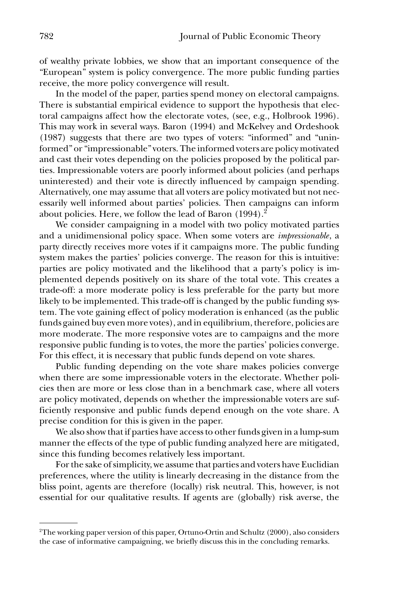of wealthy private lobbies, we show that an important consequence of the "European" system is policy convergence. The more public funding parties receive, the more policy convergence will result.

In the model of the paper, parties spend money on electoral campaigns. There is substantial empirical evidence to support the hypothesis that electoral campaigns affect how the electorate votes, (see, e.g., Holbrook 1996). This may work in several ways. Baron (1994) and McKelvey and Ordeshook (1987) suggests that there are two types of voters: "informed" and "uninformed" or "impressionable" voters. The informed voters are policy motivated and cast their votes depending on the policies proposed by the political parties. Impressionable voters are poorly informed about policies (and perhaps uninterested) and their vote is directly influenced by campaign spending. Alternatively, one may assume that all voters are policy motivated but not necessarily well informed about parties' policies. Then campaigns can inform about policies. Here, we follow the lead of Baron  $(1994).<sup>2</sup>$ 

We consider campaigning in a model with two policy motivated parties and a unidimensional policy space. When some voters are *impressionable*, a party directly receives more votes if it campaigns more. The public funding system makes the parties' policies converge. The reason for this is intuitive: parties are policy motivated and the likelihood that a party's policy is implemented depends positively on its share of the total vote. This creates a trade-off: a more moderate policy is less preferable for the party but more likely to be implemented. This trade-off is changed by the public funding system. The vote gaining effect of policy moderation is enhanced (as the public funds gained buy even more votes), and in equilibrium, therefore, policies are more moderate. The more responsive votes are to campaigns and the more responsive public funding is to votes, the more the parties' policies converge. For this effect, it is necessary that public funds depend on vote shares.

Public funding depending on the vote share makes policies converge when there are some impressionable voters in the electorate. Whether policies then are more or less close than in a benchmark case, where all voters are policy motivated, depends on whether the impressionable voters are sufficiently responsive and public funds depend enough on the vote share. A precise condition for this is given in the paper.

We also show that if parties have access to other funds given in a lump-sum manner the effects of the type of public funding analyzed here are mitigated, since this funding becomes relatively less important.

For the sake of simplicity, we assume that parties and voters have Euclidian preferences, where the utility is linearly decreasing in the distance from the bliss point, agents are therefore (locally) risk neutral. This, however, is not essential for our qualitative results. If agents are (globally) risk averse, the

<sup>2</sup>The working paper version of this paper, Ortuno-Ortin and Schultz (2000), also considers the case of informative campaigning, we briefly discuss this in the concluding remarks.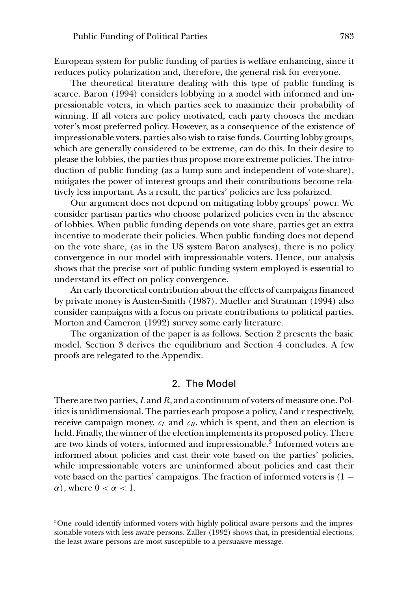European system for public funding of parties is welfare enhancing, since it reduces policy polarization and, therefore, the general risk for everyone.

The theoretical literature dealing with this type of public funding is scarce. Baron (1994) considers lobbying in a model with informed and impressionable voters, in which parties seek to maximize their probability of winning. If all voters are policy motivated, each party chooses the median voter's most preferred policy. However, as a consequence of the existence of impressionable voters, parties also wish to raise funds. Courting lobby groups, which are generally considered to be extreme, can do this. In their desire to please the lobbies, the parties thus propose more extreme policies. The introduction of public funding (as a lump sum and independent of vote-share), mitigates the power of interest groups and their contributions become relatively less important. As a result, the parties' policies are less polarized.

Our argument does not depend on mitigating lobby groups' power. We consider partisan parties who choose polarized policies even in the absence of lobbies. When public funding depends on vote share, parties get an extra incentive to moderate their policies. When public funding does not depend on the vote share, (as in the US system Baron analyses), there is no policy convergence in our model with impressionable voters. Hence, our analysis shows that the precise sort of public funding system employed is essential to understand its effect on policy convergence.

An early theoretical contribution about the effects of campaigns financed by private money is Austen-Smith (1987). Mueller and Stratman (1994) also consider campaigns with a focus on private contributions to political parties. Morton and Cameron (1992) survey some early literature.

The organization of the paper is as follows. Section 2 presents the basic model. Section 3 derives the equilibrium and Section 4 concludes. A few proofs are relegated to the Appendix.

## 2. The Model

There are two parties, *L* and *R*, and a continuum of voters of measure one. Politics is unidimensional. The parties each propose a policy, *l* and *r* respectively, receive campaign money,  $c<sub>L</sub>$  and  $c<sub>R</sub>$ , which is spent, and then an election is held. Finally, the winner of the election implements its proposed policy. There are two kinds of voters, informed and impressionable.<sup>3</sup> Informed voters are informed about policies and cast their vote based on the parties' policies, while impressionable voters are uninformed about policies and cast their vote based on the parties' campaigns. The fraction of informed voters is  $(1 \alpha$ ), where  $0 < \alpha < 1$ .

<sup>&</sup>lt;sup>3</sup>One could identify informed voters with highly political aware persons and the impressionable voters with less aware persons. Zaller (1992) shows that, in presidential elections, the least aware persons are most susceptible to a persuasive message.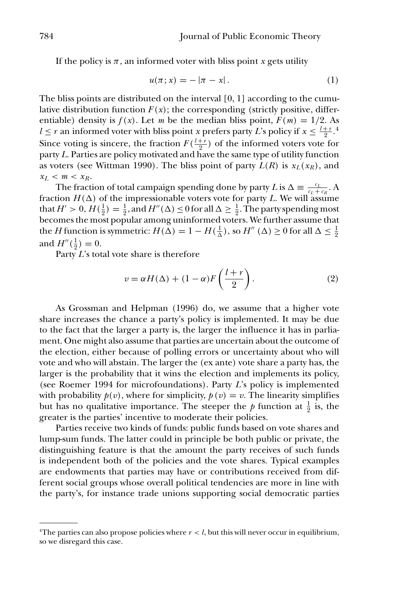If the policy is  $\pi$ , an informed voter with bliss point *x* gets utility

$$
u(\pi; x) = -|\pi - x|.
$$
 (1)

The bliss points are distributed on the interval  $[0, 1]$  according to the cumulative distribution function  $F(x)$ ; the corresponding (strictly positive, differentiable) density is  $f(x)$ . Let *m* be the median bliss point,  $F(m) = 1/2$ . As *l*  $\leq$  *r* an informed voter with bliss point *x* prefers party *L*'s policy if  $x \leq \frac{l+r}{2}$ .<sup>4</sup> Since voting is sincere, the fraction  $F(\frac{l+r}{2})$  of the informed voters vote for party *L*. Parties are policy motivated and have the same type of utility function as voters (see Wittman 1990). The bliss point of party  $L(R)$  is  $x_L(x_R)$ , and  $x_L < m < x_R$ .

The fraction of total campaign spending done by party *L* is  $\Delta = \frac{c_L}{c_L + c_R}$ . A fraction  $H(\Delta)$  of the impressionable voters vote for party *L*. We will assume that  $H' > 0$ ,  $H(\frac{1}{2}) = \frac{1}{2}$ , and  $H''(\Delta) \le 0$  for all  $\Delta \ge \frac{1}{2}$ . The party spending most becomes the most popular among uninformed voters. We further assume that the *H* function is symmetric:  $H(\Delta) = 1 - H(\frac{1}{\Delta})$ , so  $H''(\Delta) \ge 0$  for all  $\Delta \le \frac{1}{2}$ and  $H''(\frac{1}{2}) = 0$ .

Party *L*'s total vote share is therefore

$$
v = \alpha H(\Delta) + (1 - \alpha)F\left(\frac{l+r}{2}\right). \tag{2}
$$

As Grossman and Helpman (1996) do, we assume that a higher vote share increases the chance a party's policy is implemented. It may be due to the fact that the larger a party is, the larger the influence it has in parliament. One might also assume that parties are uncertain about the outcome of the election, either because of polling errors or uncertainty about who will vote and who will abstain. The larger the (ex ante) vote share a party has, the larger is the probability that it wins the election and implements its policy, (see Roemer 1994 for microfoundations). Party *L*'s policy is implemented with probability  $p(v)$ , where for simplicity,  $p(v) = v$ . The linearity simplifies but has no qualitative importance. The steeper the  $p$  function at  $\frac{1}{2}$  is, the greater is the parties' incentive to moderate their policies.

Parties receive two kinds of funds: public funds based on vote shares and lump-sum funds. The latter could in principle be both public or private, the distinguishing feature is that the amount the party receives of such funds is independent both of the policies and the vote shares. Typical examples are endowments that parties may have or contributions received from different social groups whose overall political tendencies are more in line with the party's, for instance trade unions supporting social democratic parties

<sup>&</sup>lt;sup>4</sup>The parties can also propose policies where  $r < l$ , but this will never occur in equilibrium, so we disregard this case.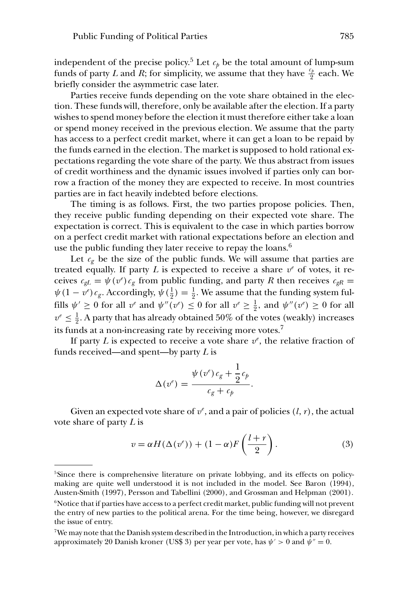independent of the precise policy.<sup>5</sup> Let  $c_p$  be the total amount of lump-sum funds of party *L* and *R*; for simplicity, we assume that they have  $\frac{c_p}{2}$  each. We briefly consider the asymmetric case later.

Parties receive funds depending on the vote share obtained in the election. These funds will, therefore, only be available after the election. If a party wishes to spend money before the election it must therefore either take a loan or spend money received in the previous election. We assume that the party has access to a perfect credit market, where it can get a loan to be repaid by the funds earned in the election. The market is supposed to hold rational expectations regarding the vote share of the party. We thus abstract from issues of credit worthiness and the dynamic issues involved if parties only can borrow a fraction of the money they are expected to receive. In most countries parties are in fact heavily indebted before elections.

The timing is as follows. First, the two parties propose policies. Then, they receive public funding depending on their expected vote share. The expectation is correct. This is equivalent to the case in which parties borrow on a perfect credit market with rational expectations before an election and use the public funding they later receive to repay the loans.<sup>6</sup>

Let  $c_g$  be the size of the public funds. We will assume that parties are treated equally. If party  $L$  is expected to receive a share  $v^e$  of votes, it receives  $c_{gL} = \psi(v^e) c_g$  from public funding, and party *R* then receives  $c_{gR} =$  $\psi(1-v^e) c_g$ . Accordingly,  $\psi(\frac{1}{2}) = \frac{1}{2}$ . We assume that the funding system fulfills  $\psi' \ge 0$  for all  $v^e$  and  $\psi''(v^e) \le 0$  for all  $v^e \ge \frac{1}{2}$ , and  $\psi''(v^e) \ge 0$  for all  $v^e \leq \frac{1}{2}$ . A party that has already obtained 50% of the votes (weakly) increases its funds at a non-increasing rate by receiving more votes.<sup>7</sup>

If party  $L$  is expected to receive a vote share  $v^e$ , the relative fraction of funds received—and spent—by party *L* is

$$
\Delta(v^e) = \frac{\psi(v^e)c_g + \frac{1}{2}c_p}{c_g + c_p}.
$$

Given an expected vote share of  $v^e$ , and a pair of policies  $(l, r)$ , the actual vote share of party *L* is

$$
v = \alpha H(\Delta(v^e)) + (1 - \alpha)F\left(\frac{l+r}{2}\right).
$$
 (3)

<sup>&</sup>lt;sup>5</sup>Since there is comprehensive literature on private lobbying, and its effects on policymaking are quite well understood it is not included in the model. See Baron (1994), Austen-Smith (1997), Persson and Tabellini (2000), and Grossman and Helpman (2001).

 $6$ Notice that if parties have access to a perfect credit market, public funding will not prevent the entry of new parties to the political arena. For the time being, however, we disregard the issue of entry.

 $7$ We may note that the Danish system described in the Introduction, in which a party receives approximately 20 Danish kroner (US\$ 3) per year per vote, has  $\psi' > 0$  and  $\psi'' = 0$ .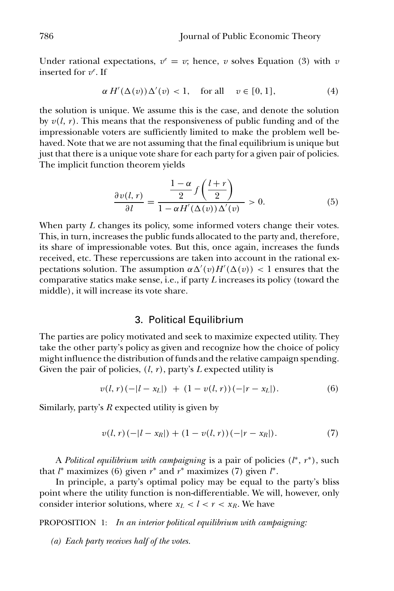Under rational expectations,  $v^e = v$ ; hence, *v* solves Equation (3) with *v* inserted for *v<sup>e</sup>* . If

$$
\alpha H'(\Delta(v))\Delta'(v) < 1, \quad \text{for all} \quad v \in [0, 1], \tag{4}
$$

the solution is unique. We assume this is the case, and denote the solution by  $v(l, r)$ . This means that the responsiveness of public funding and of the impressionable voters are sufficiently limited to make the problem well behaved. Note that we are not assuming that the final equilibrium is unique but just that there is a unique vote share for each party for a given pair of policies. The implicit function theorem yields

$$
\frac{\partial v(l,r)}{\partial l} = \frac{\frac{1-\alpha}{2}f\left(\frac{l+r}{2}\right)}{1-\alpha H'(\Delta(v))\Delta'(v)} > 0.
$$
\n(5)

When party *L* changes its policy, some informed voters change their votes. This, in turn, increases the public funds allocated to the party and, therefore, its share of impressionable votes. But this, once again, increases the funds received, etc. These repercussions are taken into account in the rational expectations solution. The assumption  $\alpha \Delta'(v) H'(\Delta(v)) < 1$  ensures that the comparative statics make sense, i.e., if party *L* increases its policy (toward the middle), it will increase its vote share.

# 3. Political Equilibrium

The parties are policy motivated and seek to maximize expected utility. They take the other party's policy as given and recognize how the choice of policy might influence the distribution of funds and the relative campaign spending. Given the pair of policies,  $(l, r)$ , party's  $L$  expected utility is

$$
v(l,r)(-|l-x_L|) + (1-v(l,r))(-|r-x_L|). \tag{6}
$$

Similarly, party's *R* expected utility is given by

$$
v(l,r)(-|l-x_R|) + (1 - v(l,r))(-|r-x_R|). \tag{7}
$$

A *Political equilibrium with campaigning* is a pair of policies (*l* <sup>∗</sup>, *r* <sup>∗</sup>), such that *l*\* maximizes (6) given *r*\* and *r*\* maximizes (7) given *l*\*.

In principle, a party's optimal policy may be equal to the party's bliss point where the utility function is non-differentiable. We will, however, only consider interior solutions, where  $x_L < l < r < x_R$ . We have

PROPOSITION 1: *In an interior political equilibrium with campaigning:*

*(a) Each party receives half of the votes.*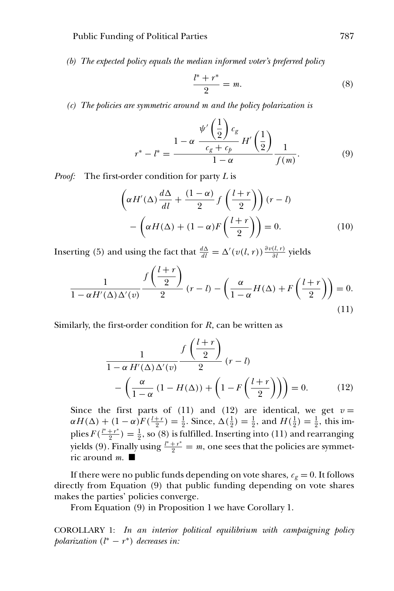Public Funding of Political Parties 787

*(b) The expected policy equals the median informed voter's preferred policy*

$$
\frac{l^* + r^*}{2} = m.
$$
\n(8)

*(c) The policies are symmetric around m and the policy polarization is*

$$
r^* - l^* = \frac{1 - \alpha \frac{\psi'\left(\frac{1}{2}\right)c_g}{c_g + c_p} H'\left(\frac{1}{2}\right)}{1 - \alpha} \frac{1}{f(m)}.
$$
(9)

*Proof:* The first-order condition for party *L* is

$$
\left(\alpha H'(\Delta)\frac{d\Delta}{dl} + \frac{(1-\alpha)}{2}f\left(\frac{l+r}{2}\right)\right)(r-l) - \left(\alpha H(\Delta) + (1-\alpha)F\left(\frac{l+r}{2}\right)\right) = 0.
$$
\n(10)

Inserting (5) and using the fact that  $\frac{d\Delta}{dl} = \Delta'(v(l, r)) \frac{\partial v(l, r)}{\partial l}$  yields

$$
\frac{1}{1 - \alpha H'(\Delta) \Delta'(v)} \frac{f\left(\frac{l+r}{2}\right)}{2} \left(r - l\right) - \left(\frac{\alpha}{1 - \alpha} H(\Delta) + F\left(\frac{l+r}{2}\right)\right) = 0. \tag{11}
$$

Similarly, the first-order condition for *R*, can be written as

$$
\frac{1}{1 - \alpha H'(\Delta)\Delta'(v)} \frac{f\left(\frac{l+r}{2}\right)}{2} (r-l)
$$

$$
-\left(\frac{\alpha}{1-\alpha} (1 - H(\Delta)) + \left(1 - F\left(\frac{l+r}{2}\right)\right)\right) = 0. \tag{12}
$$

Since the first parts of (11) and (12) are identical, we get  $v =$  $\alpha H(\Delta) + (1 - \alpha)F(\frac{l+r}{2}) = \frac{1}{2}$ . Since,  $\Delta(\frac{1}{2}) = \frac{1}{2}$ , and  $H(\frac{1}{2}) = \frac{1}{2}$ , this implies  $F(\frac{l^* + r^*}{2}) = \frac{1}{2}$ , so (8) is fulfilled. Inserting into (11) and rearranging yields (9). Finally using  $\frac{r^* + r^*}{2} = m$ , one sees that the policies are symmetric around *m*.

If there were no public funds depending on vote shares,  $c_g = 0$ . It follows directly from Equation (9) that public funding depending on vote shares makes the parties' policies converge.

From Equation (9) in Proposition 1 we have Corollary 1.

COROLLARY 1: *In an interior political equilibrium with campaigning policy polarization* (*l* <sup>∗</sup> − *r* <sup>∗</sup>) *decreases in:*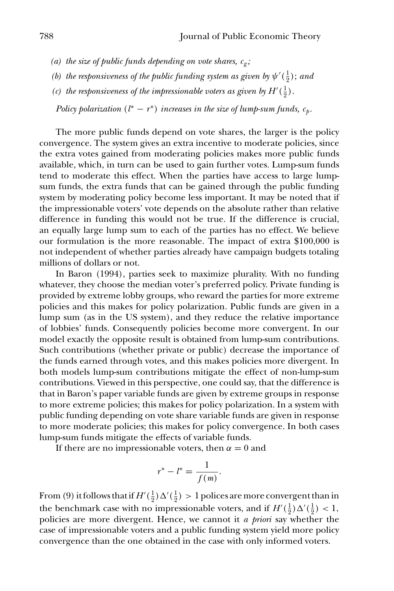- *(a) the size of public funds depending on vote shares,*  $c_g$ *;*
- *(b)* the responsiveness of the public funding system as given by  $\psi'(\frac{1}{2})$ ; and
- (c) the responsiveness of the impressionable voters as given by  $H'(\frac{1}{2})$ .

*Policy polarization*  $(l^* - r^*)$  *increases in the size of lump-sum funds,*  $c_p$ *.* 

The more public funds depend on vote shares, the larger is the policy convergence. The system gives an extra incentive to moderate policies, since the extra votes gained from moderating policies makes more public funds available, which, in turn can be used to gain further votes. Lump-sum funds tend to moderate this effect. When the parties have access to large lumpsum funds, the extra funds that can be gained through the public funding system by moderating policy become less important. It may be noted that if the impressionable voters' vote depends on the absolute rather than relative difference in funding this would not be true. If the difference is crucial, an equally large lump sum to each of the parties has no effect. We believe our formulation is the more reasonable. The impact of extra \$100,000 is not independent of whether parties already have campaign budgets totaling millions of dollars or not.

In Baron (1994), parties seek to maximize plurality. With no funding whatever, they choose the median voter's preferred policy. Private funding is provided by extreme lobby groups, who reward the parties for more extreme policies and this makes for policy polarization. Public funds are given in a lump sum (as in the US system), and they reduce the relative importance of lobbies' funds. Consequently policies become more convergent. In our model exactly the opposite result is obtained from lump-sum contributions. Such contributions (whether private or public) decrease the importance of the funds earned through votes, and this makes policies more divergent. In both models lump-sum contributions mitigate the effect of non-lump-sum contributions. Viewed in this perspective, one could say, that the difference is that in Baron's paper variable funds are given by extreme groups in response to more extreme policies; this makes for policy polarization. In a system with public funding depending on vote share variable funds are given in response to more moderate policies; this makes for policy convergence. In both cases lump-sum funds mitigate the effects of variable funds.

If there are no impressionable voters, then  $\alpha = 0$  and

$$
r^* - l^* = \frac{1}{f(m)}.
$$

From (9) it follows that if  $H'(\frac{1}{2})\Delta'(\frac{1}{2}) > 1$  polices are more convergent than in the benchmark case with no impressionable voters, and if  $H'(\frac{1}{2})\Delta'(\frac{1}{2}) < 1$ , policies are more divergent. Hence, we cannot it *a priori* say whether the case of impressionable voters and a public funding system yield more policy convergence than the one obtained in the case with only informed voters.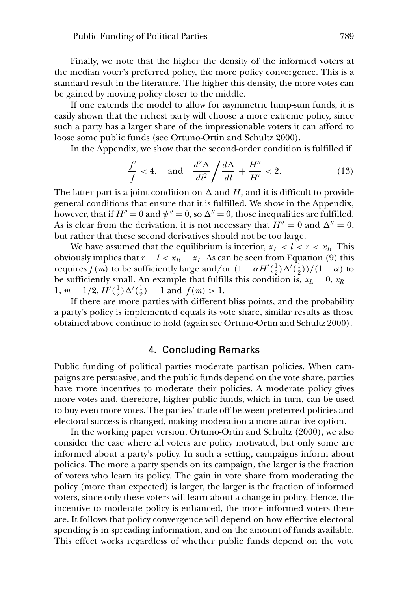Finally, we note that the higher the density of the informed voters at the median voter's preferred policy, the more policy convergence. This is a standard result in the literature. The higher this density, the more votes can be gained by moving policy closer to the middle.

If one extends the model to allow for asymmetric lump-sum funds, it is easily shown that the richest party will choose a more extreme policy, since such a party has a larger share of the impressionable voters it can afford to loose some public funds (see Ortuno-Ortin and Schultz 2000).

In the Appendix, we show that the second-order condition is fulfilled if

$$
\frac{f'}{f} < 4, \quad \text{and} \quad \frac{d^2 \Delta}{dt^2} \bigg/ \frac{d \Delta}{dt} + \frac{H''}{H'} < 2. \tag{13}
$$

The latter part is a joint condition on  $\Delta$  and *H*, and it is difficult to provide general conditions that ensure that it is fulfilled. We show in the Appendix, however, that if  $H'' = 0$  and  $\psi'' = 0$ , so  $\Delta'' = 0$ , those inequalities are fulfilled. As is clear from the derivation, it is not necessary that  $H'' = 0$  and  $\Delta'' = 0$ , but rather that these second derivatives should not be too large.

We have assumed that the equilibrium is interior,  $x_L < l < r < x_R$ . This obviously implies that  $r - l < x_R - x_L$ . As can be seen from Equation (9) this requires *f*(*m*) to be sufficiently large and/or  $(1 - \alpha H'(\frac{1}{2})\Delta'(\frac{1}{2}))/(1 - \alpha)$  to be sufficiently small. An example that fulfills this condition is,  $x_L = 0$ ,  $x_R =$  $1, m = 1/2, H'(\frac{1}{2})\Delta'(\frac{1}{2}) = 1$  and  $f(m) > 1$ .

If there are more parties with different bliss points, and the probability a party's policy is implemented equals its vote share, similar results as those obtained above continue to hold (again see Ortuno-Ortin and Schultz 2000).

#### 4. Concluding Remarks

Public funding of political parties moderate partisan policies. When campaigns are persuasive, and the public funds depend on the vote share, parties have more incentives to moderate their policies. A moderate policy gives more votes and, therefore, higher public funds, which in turn, can be used to buy even more votes. The parties' trade off between preferred policies and electoral success is changed, making moderation a more attractive option.

In the working paper version, Ortuno-Ortin and Schultz (2000), we also consider the case where all voters are policy motivated, but only some are informed about a party's policy. In such a setting, campaigns inform about policies. The more a party spends on its campaign, the larger is the fraction of voters who learn its policy. The gain in vote share from moderating the policy (more than expected) is larger, the larger is the fraction of informed voters, since only these voters will learn about a change in policy. Hence, the incentive to moderate policy is enhanced, the more informed voters there are. It follows that policy convergence will depend on how effective electoral spending is in spreading information, and on the amount of funds available. This effect works regardless of whether public funds depend on the vote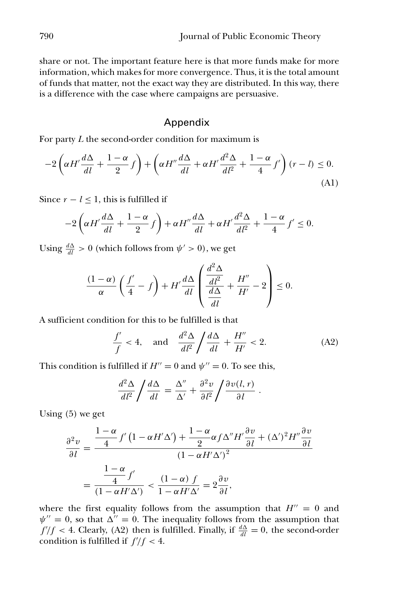share or not. The important feature here is that more funds make for more information, which makes for more convergence. Thus, it is the total amount of funds that matter, not the exact way they are distributed. In this way, there is a difference with the case where campaigns are persuasive.

### Appendix

For party *L* the second-order condition for maximum is

$$
-2\left(\alpha H' \frac{d\Delta}{dl} + \frac{1-\alpha}{2}f\right) + \left(\alpha H'' \frac{d\Delta}{dl} + \alpha H' \frac{d^2\Delta}{dl^2} + \frac{1-\alpha}{4}f'\right)(r-l) \le 0.
$$
\n(A1)

Since  $r - l \leq 1$ , this is fulfilled if

$$
-2\left(\alpha H'\frac{d\Delta}{dl}+\frac{1-\alpha}{2}f\right)+\alpha H''\frac{d\Delta}{dl}+\alpha H'\frac{d^2\Delta}{dl^2}+\frac{1-\alpha}{4}f'\leq 0.
$$

Using  $\frac{d\Delta}{dt} > 0$  (which follows from  $\psi' > 0$ ), we get

$$
\frac{(1-\alpha)}{\alpha}\left(\frac{f'}{4}-f\right)+H'\frac{d\Delta}{dl}\left(\frac{\frac{d^2\Delta}{dl^2}}{\frac{d\Delta}{dl}}+\frac{H''}{H'}-2\right)\leq 0.
$$

A sufficient condition for this to be fulfilled is that

$$
\frac{f'}{f} < 4, \quad \text{and} \quad \frac{d^2 \Delta}{dt^2} \bigg/ \frac{d \Delta}{dt} + \frac{H''}{H'} < 2. \tag{A2}
$$

This condition is fulfilled if  $H'' = 0$  and  $\psi'' = 0$ . To see this,

$$
\frac{d^2\Delta}{dl^2}\bigg/\frac{d\Delta}{dl}=\frac{\Delta''}{\Delta'}+\frac{\partial^2 v}{\partial l^2}\bigg/\frac{\partial v(l,r)}{\partial l}.
$$

Using (5) we get

$$
\frac{\partial^2 v}{\partial l} = \frac{\frac{1-\alpha}{4} f'(1 - \alpha H' \Delta') + \frac{1-\alpha}{2} \alpha f \Delta'' H' \frac{\partial v}{\partial l} + (\Delta')^2 H'' \frac{\partial v}{\partial l}}{(1 - \alpha H' \Delta')^2}
$$

$$
= \frac{\frac{1-\alpha}{4} f'}{(1 - \alpha H' \Delta')} < \frac{(1-\alpha) f}{1 - \alpha H' \Delta'} = 2 \frac{\partial v}{\partial l},
$$

where the first equality follows from the assumption that  $H'' = 0$  and  $\psi'' = 0$ , so that  $\Delta'' = 0$ . The inequality follows from the assumption that  $f'/f < 4$ . Clearly, (A2) then is fulfilled. Finally, if  $\frac{d\Delta}{dt} = 0$ , the second-order condition is fulfilled if  $f'/f < 4$ .